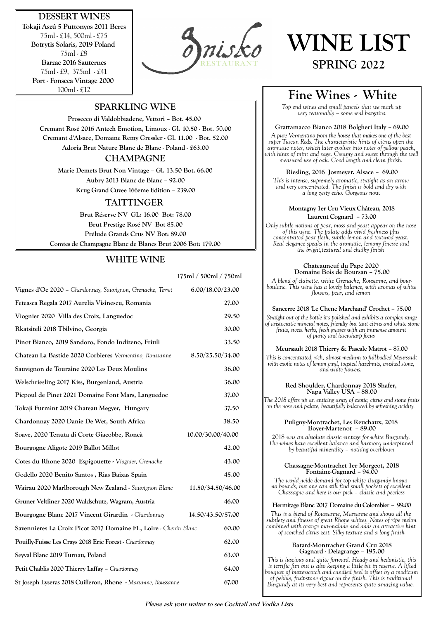# **DESSERT WINES**

**Tokaji Aszú 5 Puttonyos 2011 Beres** 75ml - £14, 500ml - £75 **Botrytis Solaris, 2019 Poland**  75ml - £8 **Barzac 2016 Sauternes** 75ml - £9, 375ml - £41 **Port - Fonseca Vintage 2000**  100ml - £12



# **WINE LIST SPRING 2022**

# **SPARKLING WINE**

**Prosecco di Valdobbiadene, Vettori – Bot. 45.00 Cremant Rosé 2016 Antech Emotion, Limoux - Gl. 10.50 - Bot.** 50**.00 Cremant d'Alsace, Domaine Remy Gressler - Gl. 11.00 - Bot. 52.00 Adoria Brut Nature Blanc de Blanc - Poland - £63.00**

## **CHAMPAGNE**

**Marie Demets Brut Non Vintage – Gl. 13.50 Bot. 66.00 Aubry 2013 Blanc de Blanc – 92.00 Krug Grand Cuvee 166eme Edition – 239.00**

## **TAITTINGER**

 **Brut Réserve NV GL: 16.00 Bot: 78.00 Brut Prestige Rosé NV Bot 85.00 Prélude Grands Crus NV Bot: 89.00 Comtes de Champagne Blanc de Blancs Brut 2006 Bot: 179.00**

# **WHITE WINE**

|                                                                  | 175ml / 500ml / 750ml |
|------------------------------------------------------------------|-----------------------|
| Vignes d'Oc 2020 - Chardonnay, Sauvignon, Grenache, Terret       | 6.00/18.00/23.00      |
| Feteasca Regala 2017 Aurelia Visinescu, Romania                  | 27.00                 |
| Viognier 2020 Villa des Croix, Languedoc                         | 29.50                 |
| Rkatsiteli 2018 Tbilvino, Georgia                                | 30.00                 |
| Pinot Bianco, 2019 Sandoro, Fondo Indizeno, Friuli               | 33.50                 |
| Chateau La Bastide 2020 Corbieres Vermentino, Roussanne          | 8.50/25.50/34.00      |
| Sauvignon de Touraine 2020 Les Deux Moulins                      | 36.00                 |
| Welschriesling 2017 Kiss, Burgenland, Austria                    | 36.00                 |
| Picpoul de Pinet 2021 Domaine Font Mars, Languedoc               | 37.00                 |
| Tokaji Furmint 2019 Chateau Megyer, Hungary                      | 37.50                 |
| Chardonnay 2020 Danie De Wet, South Africa                       | 38.50                 |
| Soave, 2020 Tenuta di Corte Giacobbe, Roncà                      | 10.00/30.00/40.00     |
| Bourgogne Aligote 2019 Ballot Millot                             | 42.00                 |
| Cotes du Rhone 2020 Espigouette - Viognier, Grenache             | 43.00                 |
| Godello 2020 Benito Santos, Rias Baixas Spain                    | 45.00                 |
| Wairau 2020 Marlborough New Zealand - Sauvignon Blanc            | 11.50/34.50/46.00     |
| Gruner Veltliner 2020 Waldschutz, Wagram, Austria                | 46.00                 |
| Bourgogne Blanc 2017 Vincent Girardin - Chardonnay               | 14.50/43.50/57.00     |
| Savennieres La Croix Picot 2017 Domaine FL, Loire - Chenin Blanc | 60.00                 |
| Pouilly-Fuisse Les Crays 2018 Eric Forest - Chardonnay           | 62.00                 |
| Seyval Blanc 2019 Turnau, Poland                                 | 63.00                 |
| Petit Chablis 2020 Thierry Laffay - Chardonnay                   | 64.00                 |
| St Joseph Lyseras 2018 Cuilleron, Rhone - Marsanne, Roussanne    | 67.00                 |

# **Fine Wines - White**

*Top end wines and small parcels that we mark up very reasonably – some real bargains.*

#### **Grattamacco Bianco 2018 Bolgheri Italy – 69.00**

*A pure Vermentino from the house that makes one of the best super Tuscan Reds. The characteristic hints of citrus open the aromatic notes, which later evolves into notes of yellow peach, with hints of mint and sage. Creamy and sweet through the well measured use of oak. Good length and clean finish.* 

#### **Riesling, 2016 Josmeyer. Alsace – 69.00**

*This is intense, supremely aromatic, straight as an arrow and very concentrated. The finish is bold and dry with a long zesty echo. Gorgeous now.*

#### **Montagny 1er Cru Vieux Château, 2018 Laurent Cognard – 73.00**

*Only subtle notions of pear, moss and yeast appear on the nose of this wine. The palate adds vivid freshness plus concentrated pear flesh, subtle lemon and textured yeast. Real elegance speaks in the aromatic, lemony finesse and the bright,textured and chalky finish* 

#### **Chateauneuf du Pape 2020 Domaine Bois de Boursan – 75.00**

*A blend of clairette, white Grenache, Rousanne, and bourboulanc. This wine has a lovely balance, with aromas of white flowers, pear, and lemon*

#### **Sancerre 2018 'Le Chene Marchand' Crochet – 75.00**

*Straight out of the bottle it's polished and exhibits a complex range of aristocratic mineral notes, friendly but taut citrus and white stone fruits, sweet herbs, fresh grasses with an immense amount of purity and laser-sharp focus*

#### **Meursault 2018 Thierry & Pascale Matrot – 87.00**

*This is concentrated, rich, almost medium to full-bodied Meursault with exotic notes of lemon curd, toasted hazelnuts, crushed stone, and white flowers.* 

#### **Red Shoulder, Chardonnay 2018 Shafer, Napa Valley USA – 88.00**

*The 2018 offers up an enticing array of exotic, citrus and stone fruits on the nose and palate, beautifully balanced by refreshing acidity.* 

#### **Puligny-Montrachet, Les Reuchaux, 2018 Boyer-Martenot – 89.00**

**2**018 *was an absolute classic vintage for white Burgundy. The wines have excellent balance and harmony underpinned by beautiful minerality – nothing overblown*

#### **Chassagne-Montrachet 1er Morgeot, 2018 Fontaine-Gagnard – 94.00**

*The world -wide demand for top white Burgundy knows no bounds, but one can still find small pockets of excellent Chassagne and here is our pick – classic and peerless*

#### **Hermitage Blanc 2017 Domaine du Colombier – 99.00**

*This is a blend of Roussanne, Marsanne and shows all the subtlety and finesse of great Rhone whites. Notes of ripe melon combined with orange marmalade and adds an attractive hint of scorched citrus zest. Silky texture and a long finish*

#### **Batard-Montrachet Grand Cru 2018 Gagnard - Delagrange – 195.00**

*This is luscious and quite forward. Heady and hedonistic, this is terrific fun but is also keeping a little bit in reserve. A lifted bouquet of butterscotch and candied peel is offset by a modicum of pebbly, fruit-stone rigour on the finish. This is traditional Burgundy at its very best and represents quite amazing value.*